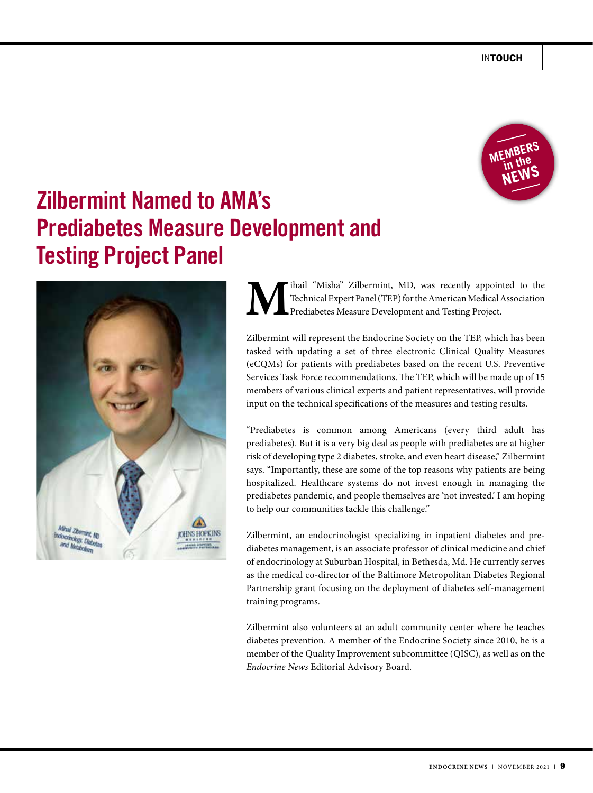

## **Zilbermint Named to AMA's Prediabetes Measure Development and Testing Project Panel**



**M**ihail "Misha" Zilbermint, MD, was recently appointed to the Technical Expert Panel (TEP) for the American Medical Association Prediabetes Measure Development and Testing Project. Technical Expert Panel (TEP) for the American Medical Association Prediabetes Measure Development and Testing Project.

Zilbermint will represent the Endocrine Society on the TEP, which has been tasked with updating a set of three electronic Clinical Quality Measures (eCQMs) for patients with prediabetes based on the recent U.S. Preventive Services Task Force recommendations. The TEP, which will be made up of 15 members of various clinical experts and patient representatives, will provide input on the technical specifications of the measures and testing results.

"Prediabetes is common among Americans (every third adult has prediabetes). But it is a very big deal as people with prediabetes are at higher risk of developing type 2 diabetes, stroke, and even heart disease," Zilbermint says. "Importantly, these are some of the top reasons why patients are being hospitalized. Healthcare systems do not invest enough in managing the prediabetes pandemic, and people themselves are 'not invested.' I am hoping to help our communities tackle this challenge."

Zilbermint, an endocrinologist specializing in inpatient diabetes and prediabetes management, is an associate professor of clinical medicine and chief of endocrinology at Suburban Hospital, in Bethesda, Md. He currently serves as the medical co-director of the Baltimore Metropolitan Diabetes Regional Partnership grant focusing on the deployment of diabetes self-management training programs.

Zilbermint also volunteers at an adult community center where he teaches diabetes prevention. A member of the Endocrine Society since 2010, he is a member of the Quality Improvement subcommittee (QISC), as well as on the *Endocrine News* Editorial Advisory Board.